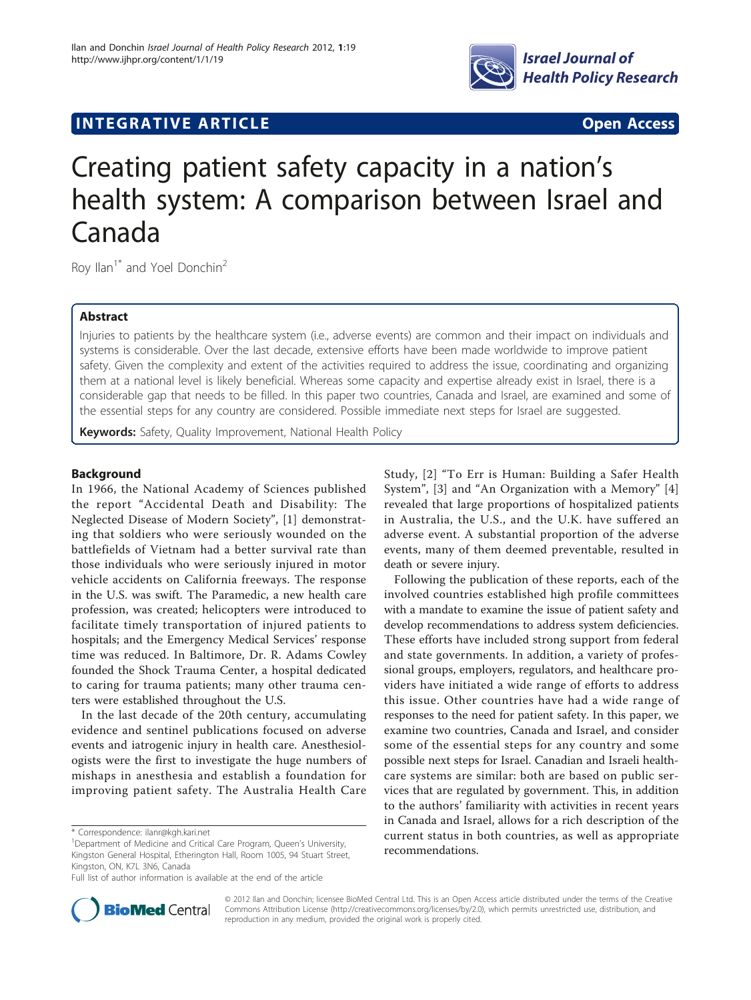

## **INTEGRATIVE ARTICLE Example 2018 CONSIDERED ACCESS**

# Creating patient safety capacity in a nation's health system: A comparison between Israel and Canada

Roy Ilan<sup>1\*</sup> and Yoel Donchin<sup>2</sup>

## Abstract

Injuries to patients by the healthcare system (i.e., adverse events) are common and their impact on individuals and systems is considerable. Over the last decade, extensive efforts have been made worldwide to improve patient safety. Given the complexity and extent of the activities required to address the issue, coordinating and organizing them at a national level is likely beneficial. Whereas some capacity and expertise already exist in Israel, there is a considerable gap that needs to be filled. In this paper two countries, Canada and Israel, are examined and some of the essential steps for any country are considered. Possible immediate next steps for Israel are suggested.

Keywords: Safety, Quality Improvement, National Health Policy

## Background

In 1966, the National Academy of Sciences published the report "Accidental Death and Disability: The Neglected Disease of Modern Society", [[1\]](#page-5-0) demonstrating that soldiers who were seriously wounded on the battlefields of Vietnam had a better survival rate than those individuals who were seriously injured in motor vehicle accidents on California freeways. The response in the U.S. was swift. The Paramedic, a new health care profession, was created; helicopters were introduced to facilitate timely transportation of injured patients to hospitals; and the Emergency Medical Services' response time was reduced. In Baltimore, Dr. R. Adams Cowley founded the Shock Trauma Center, a hospital dedicated to caring for trauma patients; many other trauma centers were established throughout the U.S.

In the last decade of the 20th century, accumulating evidence and sentinel publications focused on adverse events and iatrogenic injury in health care. Anesthesiologists were the first to investigate the huge numbers of mishaps in anesthesia and establish a foundation for improving patient safety. The Australia Health Care

Study, [[2\]](#page-5-0) "To Err is Human: Building a Safer Health System", [[3\]](#page-5-0) and "An Organization with a Memory" [\[4](#page-5-0)] revealed that large proportions of hospitalized patients in Australia, the U.S., and the U.K. have suffered an adverse event. A substantial proportion of the adverse events, many of them deemed preventable, resulted in death or severe injury.

Following the publication of these reports, each of the involved countries established high profile committees with a mandate to examine the issue of patient safety and develop recommendations to address system deficiencies. These efforts have included strong support from federal and state governments. In addition, a variety of professional groups, employers, regulators, and healthcare providers have initiated a wide range of efforts to address this issue. Other countries have had a wide range of responses to the need for patient safety. In this paper, we examine two countries, Canada and Israel, and consider some of the essential steps for any country and some possible next steps for Israel. Canadian and Israeli healthcare systems are similar: both are based on public services that are regulated by government. This, in addition to the authors' familiarity with activities in recent years in Canada and Israel, allows for a rich description of the current status in both countries, as well as appropriate recommendations.



© 2012 Ilan and Donchin; licensee BioMed Central Ltd. This is an Open Access article distributed under the terms of the Creative Commons Attribution License [\(http://creativecommons.org/licenses/by/2.0](http://creativecommons.org/licenses/by/2.0)), which permits unrestricted use, distribution, and reproduction in any medium, provided the original work is properly cited.

<sup>\*</sup> Correspondence: [ilanr@kgh.kari.net](mailto:ilanr@kgh.kari.net)

<sup>&</sup>lt;sup>1</sup>Department of Medicine and Critical Care Program, Queen's University, Kingston General Hospital, Etherington Hall, Room 1005, 94 Stuart Street, Kingston, ON, K7L 3N6, Canada

Full list of author information is available at the end of the article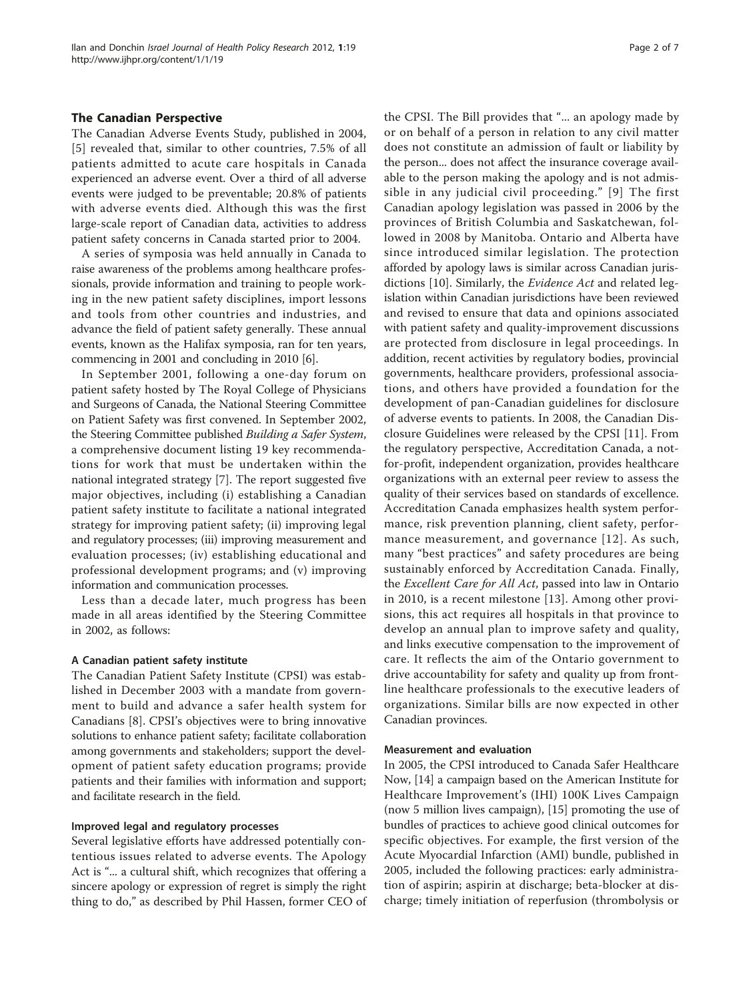### The Canadian Perspective

The Canadian Adverse Events Study, published in 2004, [[5](#page-5-0)] revealed that, similar to other countries, 7.5% of all patients admitted to acute care hospitals in Canada experienced an adverse event. Over a third of all adverse events were judged to be preventable; 20.8% of patients with adverse events died. Although this was the first large-scale report of Canadian data, activities to address patient safety concerns in Canada started prior to 2004.

A series of symposia was held annually in Canada to raise awareness of the problems among healthcare professionals, provide information and training to people working in the new patient safety disciplines, import lessons and tools from other countries and industries, and advance the field of patient safety generally. These annual events, known as the Halifax symposia, ran for ten years, commencing in 2001 and concluding in 2010 [[6](#page-5-0)].

In September 2001, following a one-day forum on patient safety hosted by The Royal College of Physicians and Surgeons of Canada, the National Steering Committee on Patient Safety was first convened. In September 2002, the Steering Committee published Building a Safer System, a comprehensive document listing 19 key recommendations for work that must be undertaken within the national integrated strategy [[7\]](#page-5-0). The report suggested five major objectives, including (i) establishing a Canadian patient safety institute to facilitate a national integrated strategy for improving patient safety; (ii) improving legal and regulatory processes; (iii) improving measurement and evaluation processes; (iv) establishing educational and professional development programs; and (v) improving information and communication processes.

Less than a decade later, much progress has been made in all areas identified by the Steering Committee in 2002, as follows:

#### A Canadian patient safety institute

The Canadian Patient Safety Institute (CPSI) was established in December 2003 with a mandate from government to build and advance a safer health system for Canadians [\[8](#page-5-0)]. CPSI's objectives were to bring innovative solutions to enhance patient safety; facilitate collaboration among governments and stakeholders; support the development of patient safety education programs; provide patients and their families with information and support; and facilitate research in the field.

#### Improved legal and regulatory processes

Several legislative efforts have addressed potentially contentious issues related to adverse events. The Apology Act is "... a cultural shift, which recognizes that offering a sincere apology or expression of regret is simply the right thing to do," as described by Phil Hassen, former CEO of the CPSI. The Bill provides that "... an apology made by or on behalf of a person in relation to any civil matter does not constitute an admission of fault or liability by the person... does not affect the insurance coverage available to the person making the apology and is not admissible in any judicial civil proceeding." [[9](#page-5-0)] The first Canadian apology legislation was passed in 2006 by the provinces of British Columbia and Saskatchewan, followed in 2008 by Manitoba. Ontario and Alberta have since introduced similar legislation. The protection afforded by apology laws is similar across Canadian juris-dictions [\[10](#page-5-0)]. Similarly, the Evidence Act and related legislation within Canadian jurisdictions have been reviewed and revised to ensure that data and opinions associated with patient safety and quality-improvement discussions are protected from disclosure in legal proceedings. In addition, recent activities by regulatory bodies, provincial governments, healthcare providers, professional associations, and others have provided a foundation for the development of pan-Canadian guidelines for disclosure of adverse events to patients. In 2008, the Canadian Disclosure Guidelines were released by the CPSI [\[11](#page-5-0)]. From the regulatory perspective, Accreditation Canada, a notfor-profit, independent organization, provides healthcare organizations with an external peer review to assess the quality of their services based on standards of excellence. Accreditation Canada emphasizes health system performance, risk prevention planning, client safety, performance measurement, and governance [[12](#page-5-0)]. As such, many "best practices" and safety procedures are being sustainably enforced by Accreditation Canada. Finally, the Excellent Care for All Act, passed into law in Ontario in 2010, is a recent milestone [[13](#page-5-0)]. Among other provisions, this act requires all hospitals in that province to develop an annual plan to improve safety and quality, and links executive compensation to the improvement of care. It reflects the aim of the Ontario government to drive accountability for safety and quality up from frontline healthcare professionals to the executive leaders of organizations. Similar bills are now expected in other Canadian provinces.

## Measurement and evaluation

In 2005, the CPSI introduced to Canada Safer Healthcare Now, [[14](#page-5-0)] a campaign based on the American Institute for Healthcare Improvement's (IHI) 100K Lives Campaign (now 5 million lives campaign), [[15](#page-5-0)] promoting the use of bundles of practices to achieve good clinical outcomes for specific objectives. For example, the first version of the Acute Myocardial Infarction (AMI) bundle, published in 2005, included the following practices: early administration of aspirin; aspirin at discharge; beta-blocker at discharge; timely initiation of reperfusion (thrombolysis or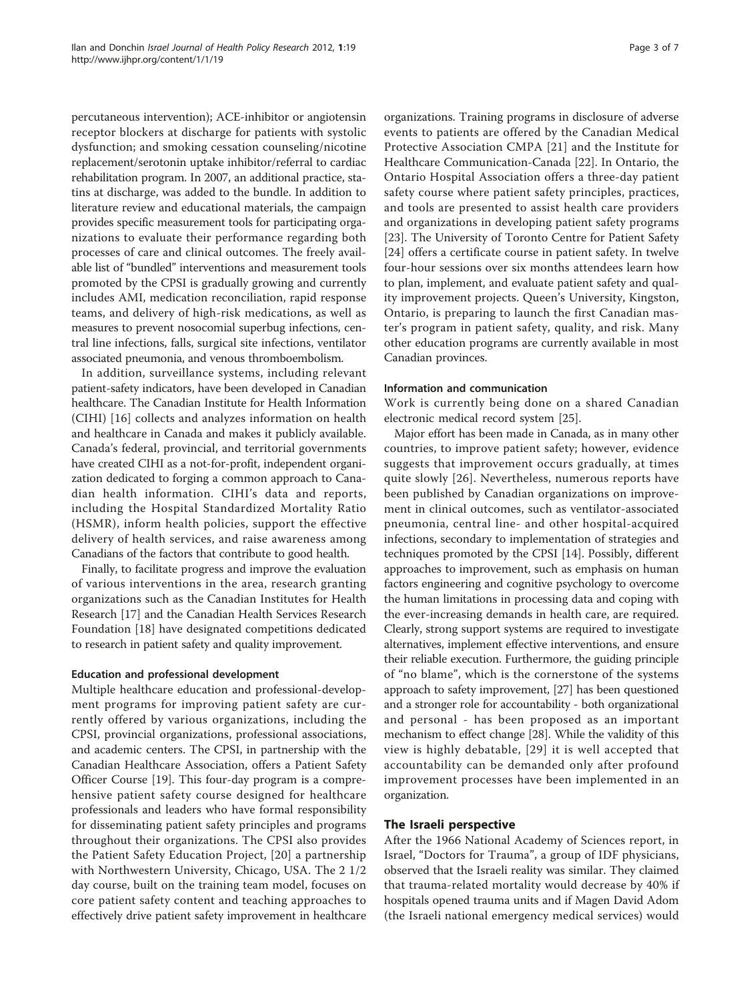percutaneous intervention); ACE-inhibitor or angiotensin receptor blockers at discharge for patients with systolic dysfunction; and smoking cessation counseling/nicotine replacement/serotonin uptake inhibitor/referral to cardiac rehabilitation program. In 2007, an additional practice, statins at discharge, was added to the bundle. In addition to literature review and educational materials, the campaign provides specific measurement tools for participating organizations to evaluate their performance regarding both processes of care and clinical outcomes. The freely available list of "bundled" interventions and measurement tools promoted by the CPSI is gradually growing and currently includes AMI, medication reconciliation, rapid response teams, and delivery of high-risk medications, as well as measures to prevent nosocomial superbug infections, central line infections, falls, surgical site infections, ventilator associated pneumonia, and venous thromboembolism.

In addition, surveillance systems, including relevant patient-safety indicators, have been developed in Canadian healthcare. The Canadian Institute for Health Information (CIHI) [[16\]](#page-5-0) collects and analyzes information on health and healthcare in Canada and makes it publicly available. Canada's federal, provincial, and territorial governments have created CIHI as a not-for-profit, independent organization dedicated to forging a common approach to Canadian health information. CIHI's data and reports, including the Hospital Standardized Mortality Ratio (HSMR), inform health policies, support the effective delivery of health services, and raise awareness among Canadians of the factors that contribute to good health.

Finally, to facilitate progress and improve the evaluation of various interventions in the area, research granting organizations such as the Canadian Institutes for Health Research [[17\]](#page-5-0) and the Canadian Health Services Research Foundation [\[18](#page-6-0)] have designated competitions dedicated to research in patient safety and quality improvement.

## Education and professional development

Multiple healthcare education and professional-development programs for improving patient safety are currently offered by various organizations, including the CPSI, provincial organizations, professional associations, and academic centers. The CPSI, in partnership with the Canadian Healthcare Association, offers a Patient Safety Officer Course [\[19](#page-6-0)]. This four-day program is a comprehensive patient safety course designed for healthcare professionals and leaders who have formal responsibility for disseminating patient safety principles and programs throughout their organizations. The CPSI also provides the Patient Safety Education Project, [[20](#page-6-0)] a partnership with Northwestern University, Chicago, USA. The 2 1/2 day course, built on the training team model, focuses on core patient safety content and teaching approaches to effectively drive patient safety improvement in healthcare organizations. Training programs in disclosure of adverse events to patients are offered by the Canadian Medical Protective Association CMPA [[21](#page-6-0)] and the Institute for Healthcare Communication-Canada [[22\]](#page-6-0). In Ontario, the Ontario Hospital Association offers a three-day patient safety course where patient safety principles, practices, and tools are presented to assist health care providers and organizations in developing patient safety programs [[23\]](#page-6-0). The University of Toronto Centre for Patient Safety [[24\]](#page-6-0) offers a certificate course in patient safety. In twelve four-hour sessions over six months attendees learn how to plan, implement, and evaluate patient safety and quality improvement projects. Queen's University, Kingston, Ontario, is preparing to launch the first Canadian master's program in patient safety, quality, and risk. Many other education programs are currently available in most Canadian provinces.

### Information and communication

Work is currently being done on a shared Canadian electronic medical record system [\[25\]](#page-6-0).

Major effort has been made in Canada, as in many other countries, to improve patient safety; however, evidence suggests that improvement occurs gradually, at times quite slowly [[26](#page-6-0)]. Nevertheless, numerous reports have been published by Canadian organizations on improvement in clinical outcomes, such as ventilator-associated pneumonia, central line- and other hospital-acquired infections, secondary to implementation of strategies and techniques promoted by the CPSI [[14](#page-5-0)]. Possibly, different approaches to improvement, such as emphasis on human factors engineering and cognitive psychology to overcome the human limitations in processing data and coping with the ever-increasing demands in health care, are required. Clearly, strong support systems are required to investigate alternatives, implement effective interventions, and ensure their reliable execution. Furthermore, the guiding principle of "no blame", which is the cornerstone of the systems approach to safety improvement, [[27\]](#page-6-0) has been questioned and a stronger role for accountability - both organizational and personal - has been proposed as an important mechanism to effect change [\[28\]](#page-6-0). While the validity of this view is highly debatable, [[29\]](#page-6-0) it is well accepted that accountability can be demanded only after profound improvement processes have been implemented in an organization.

## The Israeli perspective

After the 1966 National Academy of Sciences report, in Israel, "Doctors for Trauma", a group of IDF physicians, observed that the Israeli reality was similar. They claimed that trauma-related mortality would decrease by 40% if hospitals opened trauma units and if Magen David Adom (the Israeli national emergency medical services) would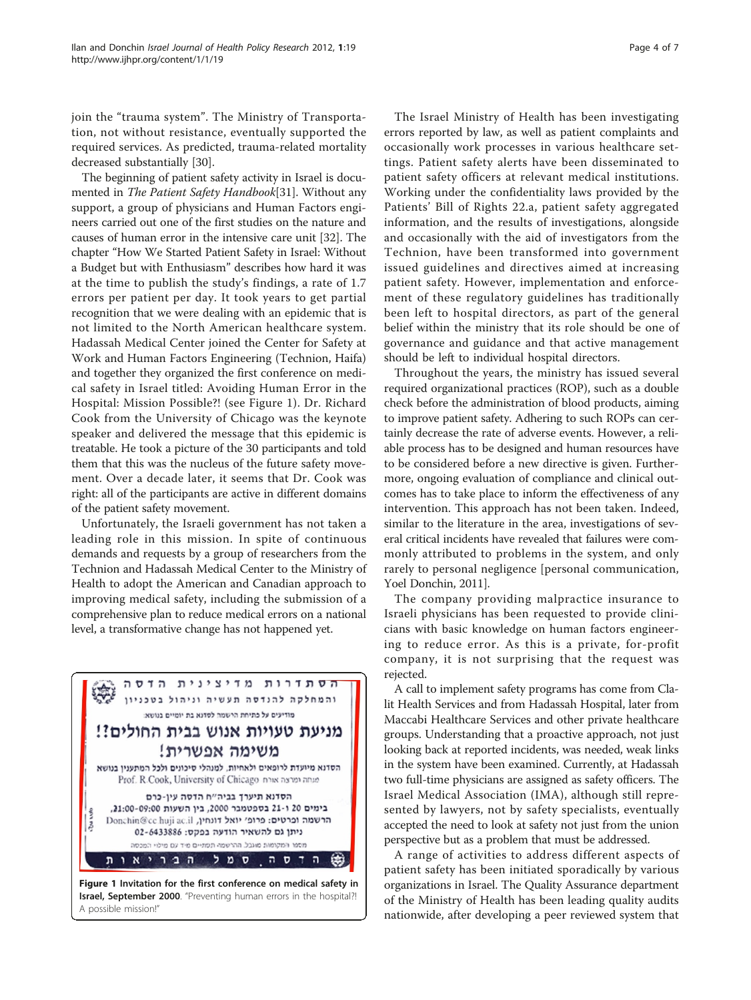join the "trauma system". The Ministry of Transportation, not without resistance, eventually supported the required services. As predicted, trauma-related mortality decreased substantially [\[30](#page-6-0)].

The beginning of patient safety activity in Israel is documented in The Patient Safety Handbook[[31](#page-6-0)]. Without any support, a group of physicians and Human Factors engineers carried out one of the first studies on the nature and causes of human error in the intensive care unit [[32](#page-6-0)]. The chapter "How We Started Patient Safety in Israel: Without a Budget but with Enthusiasm" describes how hard it was at the time to publish the study's findings, a rate of 1.7 errors per patient per day. It took years to get partial recognition that we were dealing with an epidemic that is not limited to the North American healthcare system. Hadassah Medical Center joined the Center for Safety at Work and Human Factors Engineering (Technion, Haifa) and together they organized the first conference on medical safety in Israel titled: Avoiding Human Error in the Hospital: Mission Possible?! (see Figure 1). Dr. Richard Cook from the University of Chicago was the keynote speaker and delivered the message that this epidemic is treatable. He took a picture of the 30 participants and told them that this was the nucleus of the future safety movement. Over a decade later, it seems that Dr. Cook was right: all of the participants are active in different domains of the patient safety movement.

Unfortunately, the Israeli government has not taken a leading role in this mission. In spite of continuous demands and requests by a group of researchers from the Technion and Hadassah Medical Center to the Ministry of Health to adopt the American and Canadian approach to improving medical safety, including the submission of a comprehensive plan to reduce medical errors on a national level, a transformative change has not happened yet.



The Israel Ministry of Health has been investigating errors reported by law, as well as patient complaints and occasionally work processes in various healthcare settings. Patient safety alerts have been disseminated to patient safety officers at relevant medical institutions. Working under the confidentiality laws provided by the Patients' Bill of Rights 22.a, patient safety aggregated information, and the results of investigations, alongside and occasionally with the aid of investigators from the Technion, have been transformed into government issued guidelines and directives aimed at increasing patient safety. However, implementation and enforcement of these regulatory guidelines has traditionally been left to hospital directors, as part of the general belief within the ministry that its role should be one of governance and guidance and that active management should be left to individual hospital directors.

Throughout the years, the ministry has issued several required organizational practices (ROP), such as a double check before the administration of blood products, aiming to improve patient safety. Adhering to such ROPs can certainly decrease the rate of adverse events. However, a reliable process has to be designed and human resources have to be considered before a new directive is given. Furthermore, ongoing evaluation of compliance and clinical outcomes has to take place to inform the effectiveness of any intervention. This approach has not been taken. Indeed, similar to the literature in the area, investigations of several critical incidents have revealed that failures were commonly attributed to problems in the system, and only rarely to personal negligence [personal communication, Yoel Donchin, 2011].

The company providing malpractice insurance to Israeli physicians has been requested to provide clinicians with basic knowledge on human factors engineering to reduce error. As this is a private, for-profit company, it is not surprising that the request was rejected.

A call to implement safety programs has come from Clalit Health Services and from Hadassah Hospital, later from Maccabi Healthcare Services and other private healthcare groups. Understanding that a proactive approach, not just looking back at reported incidents, was needed, weak links in the system have been examined. Currently, at Hadassah two full-time physicians are assigned as safety officers. The Israel Medical Association (IMA), although still represented by lawyers, not by safety specialists, eventually accepted the need to look at safety not just from the union perspective but as a problem that must be addressed.

A range of activities to address different aspects of patient safety has been initiated sporadically by various organizations in Israel. The Quality Assurance department of the Ministry of Health has been leading quality audits nationwide, after developing a peer reviewed system that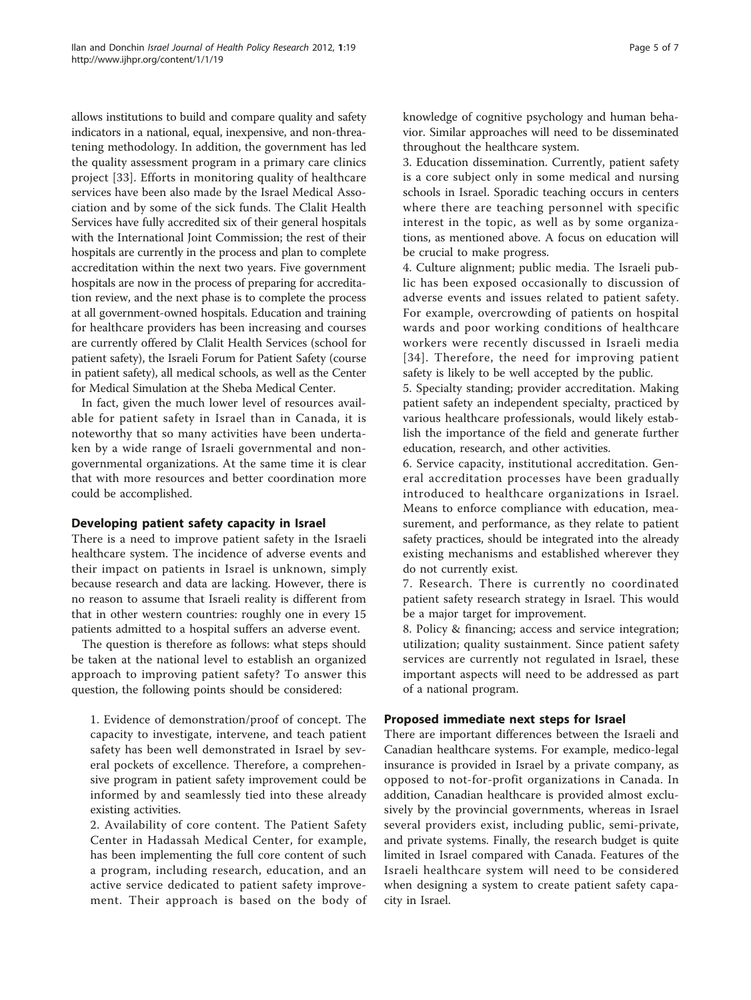allows institutions to build and compare quality and safety indicators in a national, equal, inexpensive, and non-threatening methodology. In addition, the government has led the quality assessment program in a primary care clinics project [[33\]](#page-6-0). Efforts in monitoring quality of healthcare services have been also made by the Israel Medical Association and by some of the sick funds. The Clalit Health Services have fully accredited six of their general hospitals with the International Joint Commission; the rest of their hospitals are currently in the process and plan to complete accreditation within the next two years. Five government hospitals are now in the process of preparing for accreditation review, and the next phase is to complete the process at all government-owned hospitals. Education and training for healthcare providers has been increasing and courses are currently offered by Clalit Health Services (school for patient safety), the Israeli Forum for Patient Safety (course in patient safety), all medical schools, as well as the Center for Medical Simulation at the Sheba Medical Center.

In fact, given the much lower level of resources available for patient safety in Israel than in Canada, it is noteworthy that so many activities have been undertaken by a wide range of Israeli governmental and nongovernmental organizations. At the same time it is clear that with more resources and better coordination more could be accomplished.

## Developing patient safety capacity in Israel

There is a need to improve patient safety in the Israeli healthcare system. The incidence of adverse events and their impact on patients in Israel is unknown, simply because research and data are lacking. However, there is no reason to assume that Israeli reality is different from that in other western countries: roughly one in every 15 patients admitted to a hospital suffers an adverse event.

The question is therefore as follows: what steps should be taken at the national level to establish an organized approach to improving patient safety? To answer this question, the following points should be considered:

1. Evidence of demonstration/proof of concept. The capacity to investigate, intervene, and teach patient safety has been well demonstrated in Israel by several pockets of excellence. Therefore, a comprehensive program in patient safety improvement could be informed by and seamlessly tied into these already existing activities.

2. Availability of core content. The Patient Safety Center in Hadassah Medical Center, for example, has been implementing the full core content of such a program, including research, education, and an active service dedicated to patient safety improvement. Their approach is based on the body of knowledge of cognitive psychology and human behavior. Similar approaches will need to be disseminated throughout the healthcare system.

3. Education dissemination. Currently, patient safety is a core subject only in some medical and nursing schools in Israel. Sporadic teaching occurs in centers where there are teaching personnel with specific interest in the topic, as well as by some organizations, as mentioned above. A focus on education will be crucial to make progress.

4. Culture alignment; public media. The Israeli public has been exposed occasionally to discussion of adverse events and issues related to patient safety. For example, overcrowding of patients on hospital wards and poor working conditions of healthcare workers were recently discussed in Israeli media [[34](#page-6-0)]. Therefore, the need for improving patient safety is likely to be well accepted by the public.

5. Specialty standing; provider accreditation. Making patient safety an independent specialty, practiced by various healthcare professionals, would likely establish the importance of the field and generate further education, research, and other activities.

6. Service capacity, institutional accreditation. General accreditation processes have been gradually introduced to healthcare organizations in Israel. Means to enforce compliance with education, measurement, and performance, as they relate to patient safety practices, should be integrated into the already existing mechanisms and established wherever they do not currently exist.

7. Research. There is currently no coordinated patient safety research strategy in Israel. This would be a major target for improvement.

8. Policy & financing; access and service integration; utilization; quality sustainment. Since patient safety services are currently not regulated in Israel, these important aspects will need to be addressed as part of a national program.

## Proposed immediate next steps for Israel

There are important differences between the Israeli and Canadian healthcare systems. For example, medico-legal insurance is provided in Israel by a private company, as opposed to not-for-profit organizations in Canada. In addition, Canadian healthcare is provided almost exclusively by the provincial governments, whereas in Israel several providers exist, including public, semi-private, and private systems. Finally, the research budget is quite limited in Israel compared with Canada. Features of the Israeli healthcare system will need to be considered when designing a system to create patient safety capacity in Israel.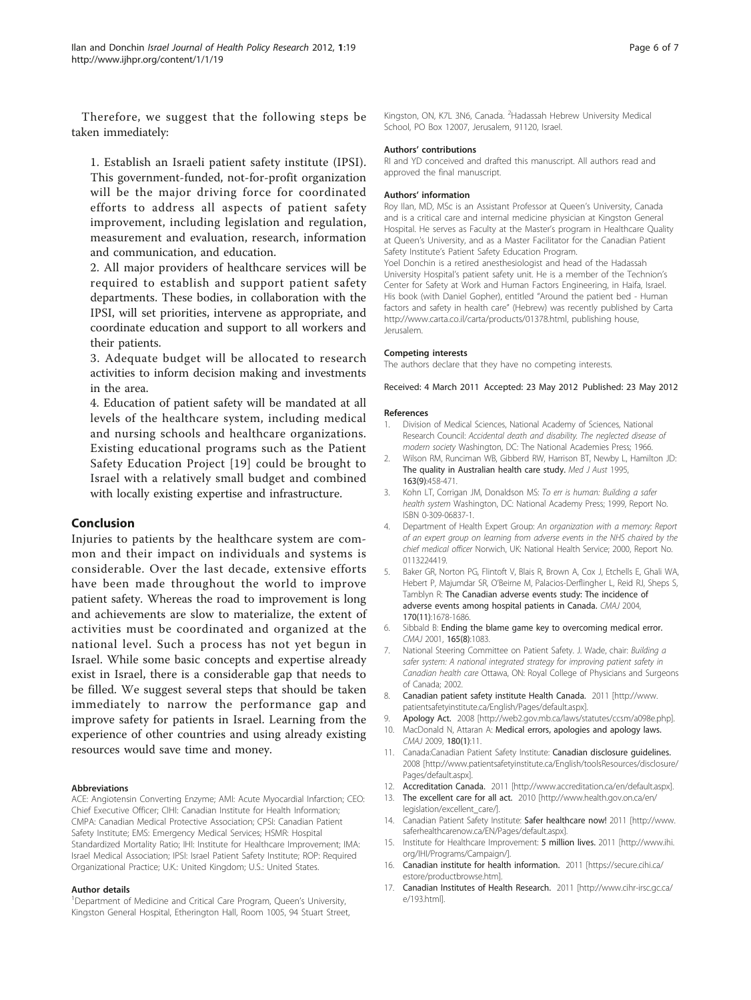<span id="page-5-0"></span>Therefore, we suggest that the following steps be taken immediately:

1. Establish an Israeli patient safety institute (IPSI). This government-funded, not-for-profit organization will be the major driving force for coordinated efforts to address all aspects of patient safety improvement, including legislation and regulation, measurement and evaluation, research, information and communication, and education.

2. All major providers of healthcare services will be required to establish and support patient safety departments. These bodies, in collaboration with the IPSI, will set priorities, intervene as appropriate, and coordinate education and support to all workers and their patients.

3. Adequate budget will be allocated to research activities to inform decision making and investments in the area.

4. Education of patient safety will be mandated at all levels of the healthcare system, including medical and nursing schools and healthcare organizations. Existing educational programs such as the Patient Safety Education Project [[19](#page-6-0)] could be brought to Israel with a relatively small budget and combined with locally existing expertise and infrastructure.

#### Conclusion

Injuries to patients by the healthcare system are common and their impact on individuals and systems is considerable. Over the last decade, extensive efforts have been made throughout the world to improve patient safety. Whereas the road to improvement is long and achievements are slow to materialize, the extent of activities must be coordinated and organized at the national level. Such a process has not yet begun in Israel. While some basic concepts and expertise already exist in Israel, there is a considerable gap that needs to be filled. We suggest several steps that should be taken immediately to narrow the performance gap and improve safety for patients in Israel. Learning from the experience of other countries and using already existing resources would save time and money.

#### Abbreviations

ACE: Angiotensin Converting Enzyme; AMI: Acute Myocardial Infarction; CEO: Chief Executive Officer; CIHI: Canadian Institute for Health Information; CMPA: Canadian Medical Protective Association; CPSI: Canadian Patient Safety Institute; EMS: Emergency Medical Services; HSMR: Hospital Standardized Mortality Ratio; IHI: Institute for Healthcare Improvement; IMA: Israel Medical Association; IPSI: Israel Patient Safety Institute; ROP: Required Organizational Practice; U.K.: United Kingdom; U.S.: United States.

#### Author details

<sup>1</sup>Department of Medicine and Critical Care Program, Queen's University, Kingston General Hospital, Etherington Hall, Room 1005, 94 Stuart Street, Kingston, ON, K7L 3N6, Canada. <sup>2</sup>Hadassah Hebrew University Medical School, PO Box 12007, Jerusalem, 91120, Israel.

#### Authors' contributions

RI and YD conceived and drafted this manuscript. All authors read and approved the final manuscript.

#### Authors' information

Roy Ilan, MD, MSc is an Assistant Professor at Queen's University, Canada and is a critical care and internal medicine physician at Kingston General Hospital. He serves as Faculty at the Master's program in Healthcare Quality at Queen's University, and as a Master Facilitator for the Canadian Patient Safety Institute's Patient Safety Education Program.

Yoel Donchin is a retired anesthesiologist and head of the Hadassah University Hospital's patient safety unit. He is a member of the Technion's Center for Safety at Work and Human Factors Engineering, in Haifa, Israel. His book (with Daniel Gopher), entitled "Around the patient bed - Human factors and safety in health care" (Hebrew) was recently published by Carta [http://www.carta.co.il/carta/products/01378.html,](http://www.carta.co.il/carta/products/01378.html) publishing house, Jerusalem.

#### Competing interests

The authors declare that they have no competing interests.

Received: 4 March 2011 Accepted: 23 May 2012 Published: 23 May 2012

#### References

- 1. Division of Medical Sciences, National Academy of Sciences, National Research Council: Accidental death and disability. The neglected disease of modern society Washington, DC: The National Academies Press; 1966.
- 2. Wilson RM, Runciman WB, Gibberd RW, Harrison BT, Newby L, Hamilton JD: [The quality in Australian health care study.](http://www.ncbi.nlm.nih.gov/pubmed/7476634?dopt=Abstract) Med J Aust 1995, 163(9):458-471.
- 3. Kohn LT, Corrigan JM, Donaldson MS: To err is human: Building a safer health system Washington, DC: National Academy Press; 1999, Report No. ISBN 0-309-06837-1.
- 4. Department of Health Expert Group: An organization with a memory: Report of an expert group on learning from adverse events in the NHS chaired by the chief medical officer Norwich, UK: National Health Service; 2000, Report No. 0113224419.
- 5. Baker GR, Norton PG, Flintoft V, Blais R, Brown A, Cox J, Etchells E, Ghali WA, Hebert P, Majumdar SR, O'Beirne M, Palacios-Derflingher L, Reid RJ, Sheps S, Tamblyn R: [The Canadian adverse events study: The incidence of](http://www.ncbi.nlm.nih.gov/pubmed/15159366?dopt=Abstract) [adverse events among hospital patients in Canada.](http://www.ncbi.nlm.nih.gov/pubmed/15159366?dopt=Abstract) CMAJ 2004, 170(11):1678-1686.
- 6. Sibbald B: [Ending the blame game key to overcoming medical error.](http://www.ncbi.nlm.nih.gov/pubmed/11699709?dopt=Abstract) CMAJ 2001, 165(8):1083.
- 7. National Steering Committee on Patient Safety. J. Wade, chair: Building a safer system: A national integrated strategy for improving patient safety in Canadian health care Ottawa, ON: Royal College of Physicians and Surgeons of Canada; 2002.
- 8. Canadian patient safety institute Health Canada. 2011 [\[http://www.](http://www.patientsafetyinstitute.ca/English/Pages/default.aspx) [patientsafetyinstitute.ca/English/Pages/default.aspx\]](http://www.patientsafetyinstitute.ca/English/Pages/default.aspx).
- 9. Apology Act. 2008 [<http://web2.gov.mb.ca/laws/statutes/ccsm/a098e.php>].
- 10. MacDonald N, Attaran A: [Medical errors, apologies and apology laws.](http://www.ncbi.nlm.nih.gov/pubmed/19124780?dopt=Abstract) CMAJ 2009, 180(1):11.
- 11. Canada:Canadian Patient Safety Institute: Canadian disclosure guidelines. 2008 [\[http://www.patientsafetyinstitute.ca/English/toolsResources/disclosure/](http://www.patientsafetyinstitute.ca/English/toolsResources/disclosure/Pages/default.aspx) [Pages/default.aspx](http://www.patientsafetyinstitute.ca/English/toolsResources/disclosure/Pages/default.aspx)].
- 12. Accreditation Canada. 2011 [[http://www.accreditation.ca/en/default.aspx\]](http://www.accreditation.ca/en/default.aspx).
- 13. The excellent care for all act. 2010 [\[http://www.health.gov.on.ca/en/](http://www.health.gov.on.ca/en/legislation/excellent_care/) [legislation/excellent\\_care/\]](http://www.health.gov.on.ca/en/legislation/excellent_care/).
- 14. Canadian Patient Safety Institute: Safer healthcare now! 2011 [\[http://www.](http://www.saferhealthcarenow.ca/EN/Pages/default.aspx) [saferhealthcarenow.ca/EN/Pages/default.aspx](http://www.saferhealthcarenow.ca/EN/Pages/default.aspx)].
- 15. Institute for Healthcare Improvement: 5 million lives. 2011 [[http://www.ihi.](http://www.ihi.org/IHI/Programs/Campaign/) [org/IHI/Programs/Campaign/](http://www.ihi.org/IHI/Programs/Campaign/)].
- 16. Canadian institute for health information. 2011 [[https://secure.cihi.ca/](https://secure.cihi.ca/estore/productbrowse.htm) [estore/productbrowse.htm\]](https://secure.cihi.ca/estore/productbrowse.htm).
- 17. Canadian Institutes of Health Research. 2011 [[http://www.cihr-irsc.gc.ca/](http://www.cihr-irsc.gc.ca/e/193.html) [e/193.html](http://www.cihr-irsc.gc.ca/e/193.html)].